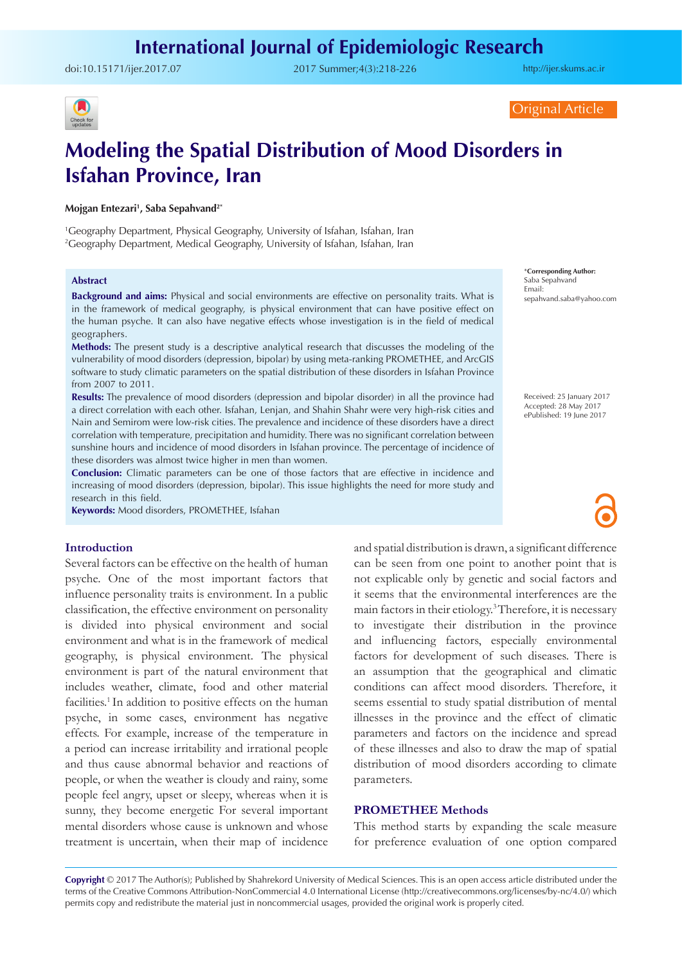doi:[10.15171/ijer.2017.07](http://dx.doi.org/10.15171/ijer.2017.07) 2017 Summer;4(3):218-226

<http://ijer.skums.ac.ir>



Original Article

# **Modeling the Spatial Distribution of Mood Disorders in Isfahan Province, Iran**

#### **Mojgan Entezari1 , Saba Sepahvand2\***

1 Geography Department, Physical Geography, University of Isfahan, Isfahan, Iran 2 Geography Department, Medical Geography, University of Isfahan, Isfahan, Iran

## **Abstract**

**Background and aims:** Physical and social environments are effective on personality traits. What is in the framework of medical geography, is physical environment that can have positive effect on the human psyche. It can also have negative effects whose investigation is in the field of medical geographers.

**Methods:** The present study is a descriptive analytical research that discusses the modeling of the vulnerability of mood disorders (depression, bipolar) by using meta-ranking PROMETHEE, and ArcGIS software to study climatic parameters on the spatial distribution of these disorders in Isfahan Province from 2007 to 2011.

**Results:** The prevalence of mood disorders (depression and bipolar disorder) in all the province had a direct correlation with each other. Isfahan, Lenjan, and Shahin Shahr were very high-risk cities and Nain and Semirom were low-risk cities. The prevalence and incidence of these disorders have a direct correlation with temperature, precipitation and humidity. There was no significant correlation between sunshine hours and incidence of mood disorders in Isfahan province. The percentage of incidence of these disorders was almost twice higher in men than women.

**Conclusion:** Climatic parameters can be one of those factors that are effective in incidence and increasing of mood disorders (depression, bipolar). This issue highlights the need for more study and research in this field.

**Keywords:** Mood disorders, PROMETHEE, Isfahan

# **Introduction**

Several factors can be effective on the health of human psyche. One of the most important factors that influence personality traits is environment. In a public classification, the effective environment on personality is divided into physical environment and social environment and what is in the framework of medical geography, is physical environment. The physical environment is part of the natural environment that includes weather, climate, food and other material facilities.<sup>1</sup> In addition to positive effects on the human psyche, in some cases, environment has negative effects. For example, increase of the temperature in a period can increase irritability and irrational people and thus cause abnormal behavior and reactions of people, or when the weather is cloudy and rainy, some people feel angry, upset or sleepy, whereas when it is sunny, they become energetic For several important mental disorders whose cause is unknown and whose treatment is uncertain, when their map of incidence and spatial distribution is drawn, a significant difference can be seen from one point to another point that is not explicable only by genetic and social factors and it seems that the environmental interferences are the main factors in their etiology.3 Therefore, it is necessary to investigate their distribution in the province and influencing factors, especially environmental factors for development of such diseases. There is an assumption that the geographical and climatic conditions can affect mood disorders. Therefore, it seems essential to study spatial distribution of mental illnesses in the province and the effect of climatic parameters and factors on the incidence and spread of these illnesses and also to draw the map of spatial distribution of mood disorders according to climate parameters.

# **PROMETHEE Methods**

This method starts by expanding the scale measure for preference evaluation of one option compared

**Copyright** © 2017 The Author(s); Published by Shahrekord University of Medical Sciences. This is an open access article distributed under the terms of the Creative Commons Attribution-NonCommercial 4.0 International License (<http://creativecommons.org/licenses/by-nc/4.0/>) which permits copy and redistribute the material just in noncommercial usages, provided the original work is properly cited.

\***Corresponding Author:** Saba Sepahvand Email: sepahvand.saba@yahoo.com

Received: 25 January 2017 Accepted: 28 May 2017 ePublished: 19 June 2017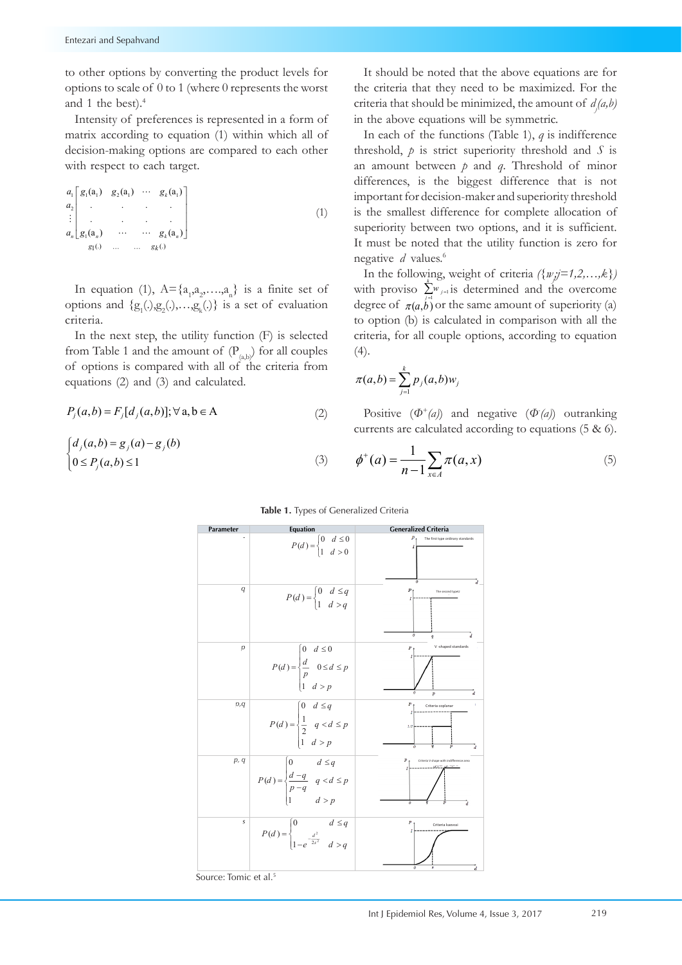to other options by converting the product levels for options to scale of 0 to 1 (where 0 represents the worst and 1 the best).4

Intensity of preferences is represented in a form of matrix according to equation (1) within which all of decision-making options are compared to each other with respect to each target.

$$
\begin{array}{c}\n a_1 \begin{bmatrix}\n g_1(a_1) & g_2(a_1) & \cdots & g_k(a_1) \\
\vdots & & \ddots & \vdots \\
g_n \begin{bmatrix}\n g_1(a_n) & \cdots & \cdots & g_k(a_n)\n \end{bmatrix}\n \end{array}
$$
\n
$$
(1)
$$
\n
$$
g_1(1)
$$

In equation (1),  $A = \{a_1, a_2, \ldots, a_n\}$  is a finite set of options and  $\{g_1(.), g_2(.),..., g_k(.)\}$  is a set of evaluation criteria.

In the next step, the utility function (F) is selected from Table 1 and the amount of  $(P_{(a,b)})$  for all couples of options is compared with all of the criteria from equations (2) and (3) and calculated.

$$
P_j(a,b) = F_j[d_j(a,b)]; \forall a, b \in A
$$
\n<sup>(2)</sup>

$$
\begin{cases} d_j(a,b) = g_j(a) - g_j(b) \\ 0 \le P_j(a,b) \le 1 \end{cases}
$$
\n(3)

It should be noted that the above equations are for the criteria that they need to be maximized. For the criteria that should be minimized, the amount of  $d_j(a,b)$ in the above equations will be symmetric.

In each of the functions (Table 1), *q* is indifference threshold, *p* is strict superiority threshold and *S* is an amount between *p* and *q*. Threshold of minor differences, is the biggest difference that is not important for decision-maker and superiority threshold is the smallest difference for complete allocation of superiority between two options, and it is sufficient. It must be noted that the utility function is zero for negative *d* values.6

In the following, weight of criteria  $({w_j}j=1,2,...,k)$ with proviso  $\sum w_{j=1}$  is determined and the overcome degree of  $\pi(a,b)$  or the same amount of superiority (a) to option (b) is calculated in comparison with all the criteria, for all couple options, according to equation (4).

$$
\pi(a,b) = \sum_{j=1}^k p_j(a,b) w_j
$$

Positive  $(\Phi^+(a))$  and negative  $(\Phi^-(a))$  outranking currents are calculated according to equations (5 & 6).

$$
\phi^+(a) = \frac{1}{n-1} \sum_{x \in A} \pi(a, x) \tag{5}
$$

| Parameter | Equation                                                                                                     | <b>Generalized Criteria</b>                          |
|-----------|--------------------------------------------------------------------------------------------------------------|------------------------------------------------------|
|           | $P(d) = \begin{cases} 0 & d \leq 0 \\ 1 & d > 0 \end{cases}$                                                 | P<br>The first type ordinary standards<br>I<br>d     |
| q         | $P(d) = \begin{cases} 0 & d \leq q \\ 1 & d > q \end{cases}$                                                 | The second typeU<br>ò<br>$\overline{d}$<br>q         |
| р         | $P(d) = \begin{cases} 0 & d \leq 0 \\ \frac{d}{p} & 0 \leq d \leq p \\ 1 & d > p \end{cases}$                | V -shaped standards<br>p<br>$\boldsymbol{d}$<br>p    |
| p,q       | $P(d) = \begin{cases} 0 & d \leq q \\ \frac{1}{2} & q < d \leq p \\ 1 & d > p \end{cases}$                   | Criteria coplanar<br>1/2<br>p<br>$\overline{d}$<br>o |
| p, q      | $P(d) = \begin{cases} 0 & d \leq q \\ \displaystyle \frac{d-q}{p-q} & q < d \leq p \\ 1 & d > p \end{cases}$ | Criteria V shape with indifference area<br>7<br>'n   |
| Ś         | $P(d) = \begin{cases} 0 & d \leq q \\ 1 - e^{-\frac{d^2}{2s^2}} & d > a \end{cases}$                         | P<br>Criteria kaovssi<br>a<br>ß                      |

#### **Table 1.** Types of Generalized Criteria

Source: Tomic et al.<sup>5</sup>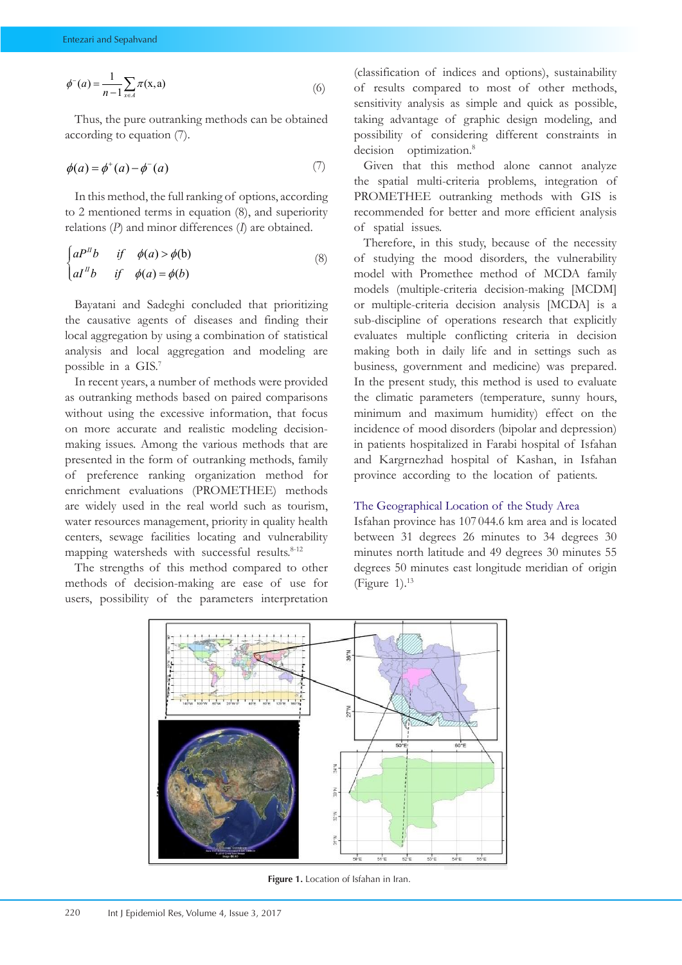$$
\phi^{-}(a) = \frac{1}{n-1} \sum_{x \in A} \pi(x, a)
$$
\n(6)

Thus, the pure outranking methods can be obtained according to equation (7).

$$
\phi(a) = \phi^+(a) - \phi^-(a) \tag{7}
$$

In this method, the full ranking of options, according to 2 mentioned terms in equation (8), and superiority relations (*P*) and minor differences (*I*) are obtained.

$$
\begin{cases} aP^Hb & \text{if } \phi(a) > \phi(b) \\ aI^Hb & \text{if } \phi(a) = \phi(b) \end{cases}
$$
 (8)

Bayatani and Sadeghi concluded that prioritizing the causative agents of diseases and finding their local aggregation by using a combination of statistical analysis and local aggregation and modeling are possible in a GIS.7

In recent years, a number of methods were provided as outranking methods based on paired comparisons without using the excessive information, that focus on more accurate and realistic modeling decisionmaking issues. Among the various methods that are presented in the form of outranking methods, family of preference ranking organization method for enrichment evaluations (PROMETHEE) methods are widely used in the real world such as tourism, water resources management, priority in quality health centers, sewage facilities locating and vulnerability mapping watersheds with successful results.<sup>8-12</sup>

The strengths of this method compared to other degrees 50 minut methods of decision-making are ease of use for (Figure 1).<sup>13</sup> users, possibility of the parameters interpretation  $\mathfrak{g}$  or

(classification of indices and options), sustainability of results compared to most of other methods, sensitivity analysis as simple and quick as possible, taking advantage of graphic design modeling, and possibility of considering different constraints in decision optimization.<sup>8</sup>

Given that this method alone cannot analyze the spatial multi-criteria problems, integration of PROMETHEE outranking methods with GIS is recommended for better and more efficient analysis of spatial issues.

Therefore, in this study, because of the necessity of studying the mood disorders, the vulnerability model with Promethee method of MCDA family models (multiple-criteria decision-making [MCDM] or multiple-criteria decision analysis [MCDA] is a sub-discipline of operations research that explicitly evaluates multiple conflicting criteria in decision making both in daily life and in settings such as business, government and medicine) was prepared. In the present study, this method is used to evaluate the climatic parameters (temperature, sunny hours, minimum and maximum humidity) effect on the incidence of mood disorders (bipolar and depression) in patients hospitalized in Farabi hospital of Isfahan and Kargrnezhad hospital of Kashan, in Isfahan province according to the location of patients.

## The Geographical Location of the Study Area

Isfahan province has 107 044.6 km area and is located between 31 degrees 26 minutes to 34 degrees 30 minutes north latitude and 49 degrees 30 minutes 55 degrees 50 minutes east longitude meridian of origin (Figure 1). $13$ 



Figure 1. Location of Isfahan in Iran.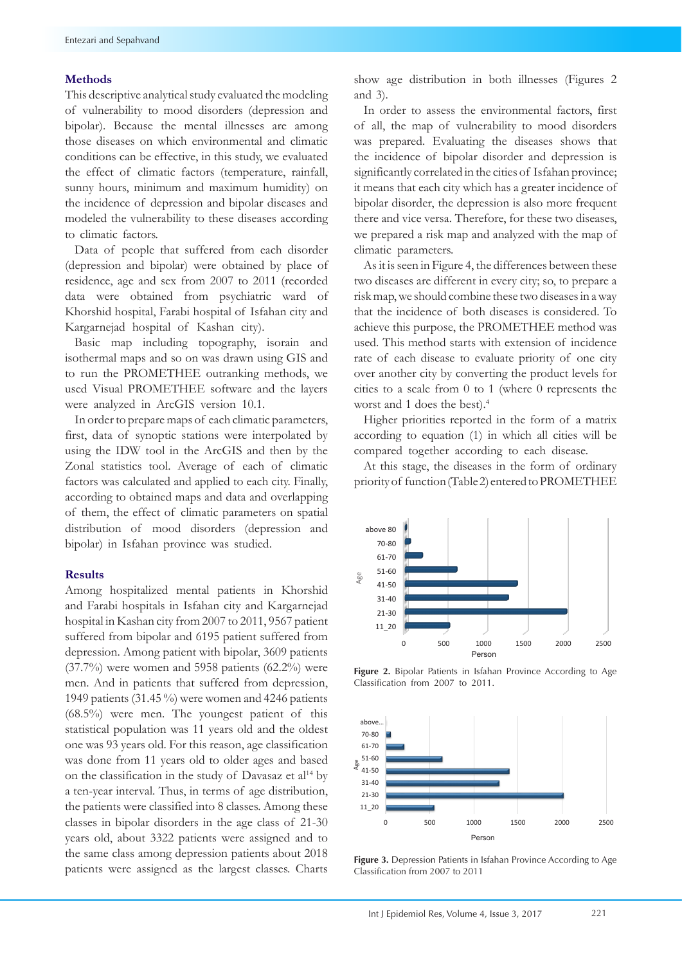#### **Methods**

This descriptive analytical study evaluated the modeling of vulnerability to mood disorders (depression and bipolar). Because the mental illnesses are among those diseases on which environmental and climatic conditions can be effective, in this study, we evaluated the effect of climatic factors (temperature, rainfall, sunny hours, minimum and maximum humidity) on the incidence of depression and bipolar diseases and modeled the vulnerability to these diseases according to climatic factors.

Data of people that suffered from each disorder (depression and bipolar) were obtained by place of residence, age and sex from 2007 to 2011 (recorded data were obtained from psychiatric ward of Khorshid hospital, Farabi hospital of Isfahan city and Kargarnejad hospital of Kashan city).

Basic map including topography, isorain and isothermal maps and so on was drawn using GIS and to run the PROMETHEE outranking methods, we used Visual PROMETHEE software and the layers were analyzed in ArcGIS version 10.1.

In order to prepare maps of each climatic parameters, first, data of synoptic stations were interpolated by using the IDW tool in the ArcGIS and then by the Zonal statistics tool. Average of each of climatic factors was calculated and applied to each city. Finally, according to obtained maps and data and overlapping of them, the effect of climatic parameters on spatial distribution of mood disorders (depression and bipolar) in Isfahan province was studied.

#### **Results**

Among hospitalized mental patients in Khorshid and Farabi hospitals in Isfahan city and Kargarnejad hospital in Kashan city from 2007 to 2011, 9567 patient suffered from bipolar and 6195 patient suffered from depression. Among patient with bipolar, 3609 patients (37.7%) were women and 5958 patients (62.2%) were men. And in patients that suffered from depression, 1949 patients (31.45 %) were women and 4246 patients (68.5%) were men. The youngest patient of this statistical population was 11 years old and the oldest one was 93 years old. For this reason, age classification was done from 11 years old to older ages and based on the classification in the study of Davasaz et al<sup>14</sup> by a ten-year interval. Thus, in terms of age distribution, the patients were classified into 8 classes. Among these classes in bipolar disorders in the age class of 21-30 years old, about 3322 patients were assigned and to the same class among depression patients about 2018 patients were assigned as the largest classes. Charts

show age distribution in both illnesses (Figures 2 and 3).

In order to assess the environmental factors, first of all, the map of vulnerability to mood disorders was prepared. Evaluating the diseases shows that the incidence of bipolar disorder and depression is significantly correlated in the cities of Isfahan province; it means that each city which has a greater incidence of bipolar disorder, the depression is also more frequent there and vice versa. Therefore, for these two diseases, we prepared a risk map and analyzed with the map of climatic parameters.

As it is seen in Figure 4, the differences between these two diseases are different in every city; so, to prepare a risk map, we should combine these two diseases in a way that the incidence of both diseases is considered. To achieve this purpose, the PROMETHEE method was used. This method starts with extension of incidence rate of each disease to evaluate priority of one city over another city by converting the product levels for cities to a scale from 0 to 1 (where 0 represents the worst and 1 does the best).4

Higher priorities reported in the form of a matrix according to equation (1) in which all cities will be compared together according to each disease.

At this stage, the diseases in the form of ordinary priority of function (Table 2) entered to PROMETHEE



**Figure 2.** Bipolar Patients in Isfahan Province According to Age Classification from 2007 to 2011.



**Figure 3.** Depression Patients in Isfahan Province According to Age Classification from 2007 to 2011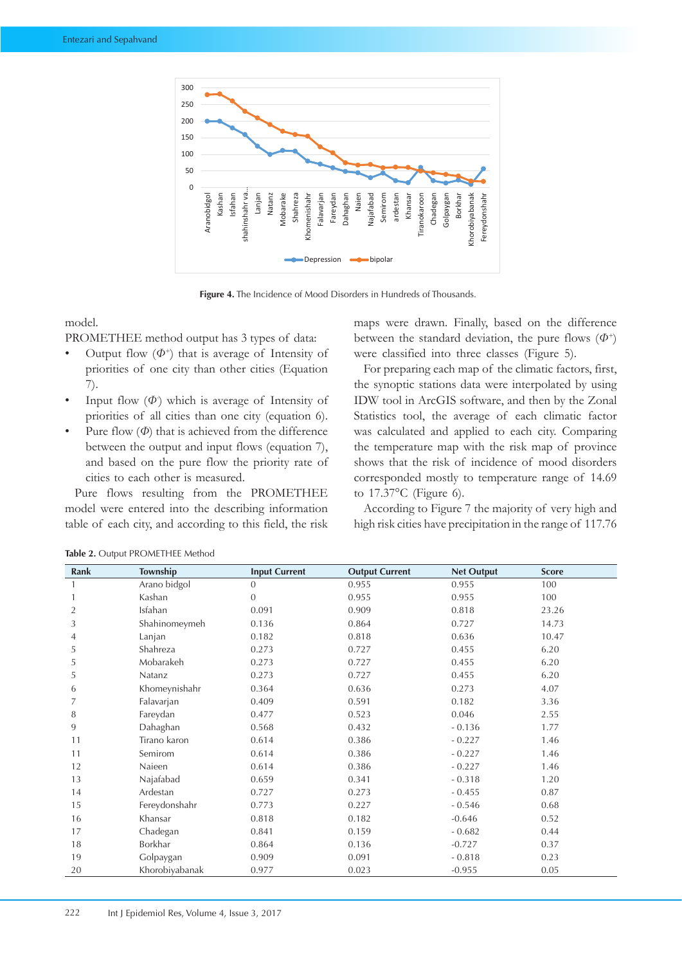

**Figure 4.** The Incidence of Mood Disorders in Hundreds of Thousands.

# model.

PROMETHEE method output has 3 types of data:

- Output flow (*Φ<sup>+</sup>*) that is average of Intensity of priorities of one city than other cities (Equation 7).
- Input flow (*Φ-* ) which is average of Intensity of priorities of all cities than one city (equation 6).
- Pure flow (*Φ*) that is achieved from the difference between the output and input flows (equation 7), and based on the pure flow the priority rate of cities to each other is measured.

Pure flows resulting from the PROMETHEE model were entered into the describing information table of each city, and according to this field, the risk

maps were drawn. Finally, based on the difference between the standard deviation, the pure flows  $(\Phi^+)$ were classified into three classes (Figure 5).

For preparing each map of the climatic factors, first, the synoptic stations data were interpolated by using IDW tool in ArcGIS software, and then by the Zonal Statistics tool, the average of each climatic factor was calculated and applied to each city. Comparing the temperature map with the risk map of province shows that the risk of incidence of mood disorders corresponded mostly to temperature range of 14.69 to 17.37°C (Figure 6).

According to Figure 7 the majority of very high and high risk cities have precipitation in the range of 117.76

| Rank           | Township       | <b>Input Current</b> | <b>Output Current</b> | <b>Net Output</b> | <b>Score</b> |
|----------------|----------------|----------------------|-----------------------|-------------------|--------------|
|                | Arano bidgol   | $\overline{0}$       | 0.955                 | 0.955             | 100          |
|                | Kashan         | $\mathbf{0}$         | 0.955                 | 0.955             | 100          |
| $\overline{2}$ | Isfahan        | 0.091                | 0.909                 | 0.818             | 23.26        |
| 3              | Shahinomeymeh  | 0.136                | 0.864                 | 0.727             | 14.73        |
| 4              | Lanjan         | 0.182                | 0.818                 | 0.636             | 10.47        |
| 5              | Shahreza       | 0.273                | 0.727                 | 0.455             | 6.20         |
| 5              | Mobarakeh      | 0.273                | 0.727                 | 0.455             | 6.20         |
| 5              | Natanz         | 0.273                | 0.727                 | 0.455             | 6.20         |
| 6              | Khomeynishahr  | 0.364                | 0.636                 | 0.273             | 4.07         |
| 7              | Falavarjan     | 0.409                | 0.591                 | 0.182             | 3.36         |
| 8              | Fareydan       | 0.477                | 0.523                 | 0.046             | 2.55         |
| 9              | Dahaghan       | 0.568                | 0.432                 | $-0.136$          | 1.77         |
| 11             | Tirano karon   | 0.614                | 0.386                 | $-0.227$          | 1.46         |
| 11             | Semirom        | 0.614                | 0.386                 | $-0.227$          | 1.46         |
| 12             | Naieen         | 0.614                | 0.386                 | $-0.227$          | 1.46         |
| 13             | Najafabad      | 0.659                | 0.341                 | $-0.318$          | 1.20         |
| 14             | Ardestan       | 0.727                | 0.273                 | $-0.455$          | 0.87         |
| 15             | Fereydonshahr  | 0.773                | 0.227                 | $-0.546$          | 0.68         |
| 16             | Khansar        | 0.818                | 0.182                 | $-0.646$          | 0.52         |
| 17             | Chadegan       | 0.841                | 0.159                 | $-0.682$          | 0.44         |
| 18             | Borkhar        | 0.864                | 0.136                 | $-0.727$          | 0.37         |
| 19             | Golpaygan      | 0.909                | 0.091                 | $-0.818$          | 0.23         |
| 20             | Khorobiyabanak | 0.977                | 0.023                 | $-0.955$          | 0.05         |

**Table 2.** Output PROMETHEE Method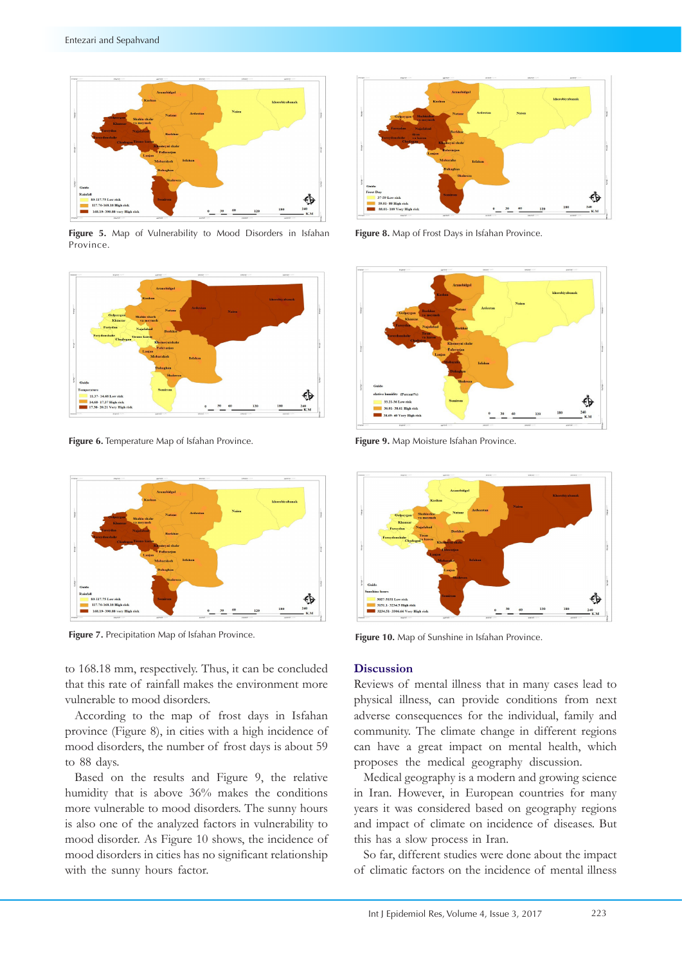

Figure 5. Map of Vulnerability to Mood Disorders in Isfahan Province.



**Figure 6.** Temperature Map of Isfahan Province.



**Figure 7.** Precipitation Map of Isfahan Province.

to 168.18 mm, respectively. Thus, it can be concluded that this rate of rainfall makes the environment more vulnerable to mood disorders. vulnerable to mood disorders.

According to the map of frost days in Isfahan According to the map of frost days in Isfahan province (Figure 8), in cities with a high incidence of province (Figure 8), in cities with a high incidence of mood disorders, the number of frost days is about 59 mood disorders, the number of frost days is about 59 to 88 days. to 88 days.

Based on the results and Figure 9, the relative Based on the results and Figure 9, the relative humidity that is above 36% makes the conditions humidity that is above 36% makes the conditions more vulnerable to mood disorders. The sunny hours more vulnerable to mood disorders. The sunny hours is also one of the analyzed factors in vulnerability to is also one of the analyzed factors in vulnerability to mood disorder. As Figure 10 shows, the incidence of mood disorder. As Figure 10 shows, the incidence of mood disorders in cities has no significant relationship mood disorders in cities has no significant relationship with the sunny hours factor. with the sunny hours factor.



**Figure 8.** Map of Frost Days in Isfahan Province.



Figure 9. Map Moisture Isfahan Province.



**Figure 10.** Map of Sunshine in Isfahan Province.

# **Discussion Discussion**

Reviews of mental illness that in many cases lead to Reviews of mental illness that in many cases lead to physical illness, can provide conditions from next physical illness, can provide conditions from next adverse consequences for the individual, family and community. The climate change in different regions community. The climate change in different regions can have a great impact on mental health, which proposes the medical geography discussion. proposes the medical geography discussion.

Medical geography is a modern and growing science Medical geography is a modern and growing science in Iran. However, in European countries for many in Iran. However, in European countries for many years it was considered based on geography regions years it was considered based on geography regions and impact of climate on incidence of diseases. But and impact of climate on incidence of diseases. But this has a slow process in Iran. this has a slow process in Iran.

So far, different studies were done about the impact So far, different studies were done about the impact of climatic factors on the incidence of mental illness of climatic factors on the incidence of mental illness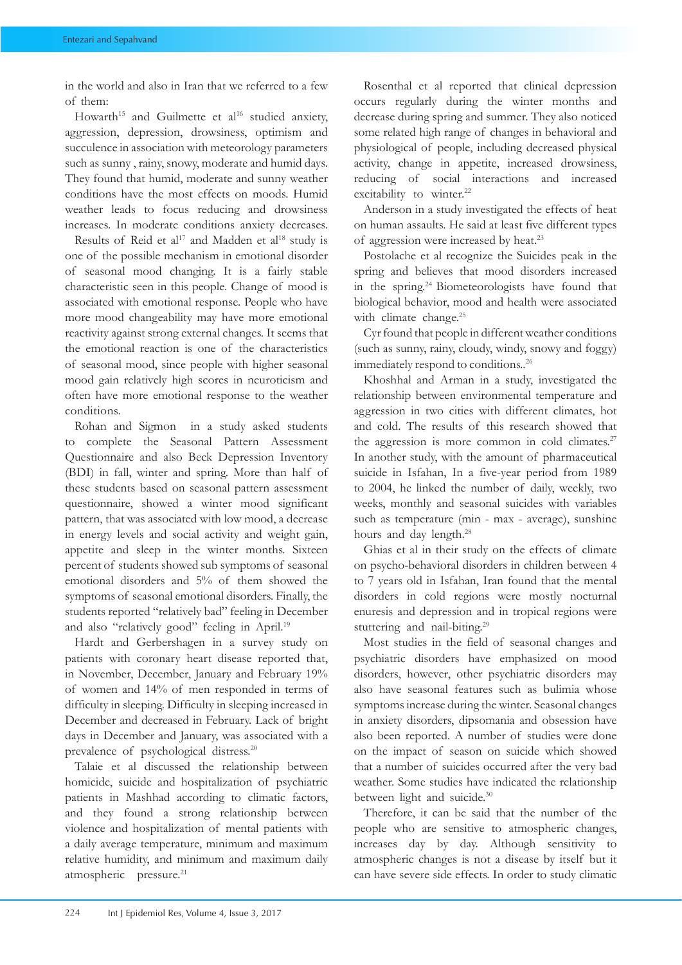in the world and also in Iran that we referred to a few of them:

Howarth<sup>15</sup> and Guilmette et al<sup>16</sup> studied anxiety, aggression, depression, drowsiness, optimism and succulence in association with meteorology parameters such as sunny , rainy, snowy, moderate and humid days. They found that humid, moderate and sunny weather conditions have the most effects on moods. Humid weather leads to focus reducing and drowsiness increases. In moderate conditions anxiety decreases.

Results of Reid et al<sup>17</sup> and Madden et al<sup>18</sup> study is one of the possible mechanism in emotional disorder of seasonal mood changing. It is a fairly stable characteristic seen in this people. Change of mood is associated with emotional response. People who have more mood changeability may have more emotional reactivity against strong external changes. It seems that the emotional reaction is one of the characteristics of seasonal mood, since people with higher seasonal mood gain relatively high scores in neuroticism and often have more emotional response to the weather conditions.

Rohan and Sigmon in a study asked students to complete the Seasonal Pattern Assessment Questionnaire and also Beck Depression Inventory (BDI) in fall, winter and spring. More than half of these students based on seasonal pattern assessment questionnaire, showed a winter mood significant pattern, that was associated with low mood, a decrease in energy levels and social activity and weight gain, appetite and sleep in the winter months. Sixteen percent of students showed sub symptoms of seasonal emotional disorders and 5% of them showed the symptoms of seasonal emotional disorders. Finally, the students reported "relatively bad" feeling in December and also "relatively good" feeling in April.19

Hardt and Gerbershagen in a survey study on patients with coronary heart disease reported that, in November, December, January and February 19% of women and 14% of men responded in terms of difficulty in sleeping. Difficulty in sleeping increased in December and decreased in February. Lack of bright days in December and January, was associated with a prevalence of psychological distress.20

Talaie et al discussed the relationship between homicide, suicide and hospitalization of psychiatric patients in Mashhad according to climatic factors, and they found a strong relationship between violence and hospitalization of mental patients with a daily average temperature, minimum and maximum relative humidity, and minimum and maximum daily atmospheric pressure.<sup>21</sup>

Rosenthal et al reported that clinical depression occurs regularly during the winter months and decrease during spring and summer. They also noticed some related high range of changes in behavioral and physiological of people, including decreased physical activity, change in appetite, increased drowsiness, reducing of social interactions and increased excitability to winter.<sup>22</sup>

Anderson in a study investigated the effects of heat on human assaults. He said at least five different types of aggression were increased by heat.23

Postolache et al recognize the Suicides peak in the spring and believes that mood disorders increased in the spring.24 Biometeorologists have found that biological behavior, mood and health were associated with climate change.<sup>25</sup>

Cyr found that people in different weather conditions (such as sunny, rainy, cloudy, windy, snowy and foggy) immediately respond to conditions..<sup>26</sup>

Khoshhal and Arman in a study, investigated the relationship between environmental temperature and aggression in two cities with different climates, hot and cold. The results of this research showed that the aggression is more common in cold climates. $27$ In another study, with the amount of pharmaceutical suicide in Isfahan, In a five-year period from 1989 to 2004, he linked the number of daily, weekly, two weeks, monthly and seasonal suicides with variables such as temperature (min - max - average), sunshine hours and day length.<sup>28</sup>

Ghias et al in their study on the effects of climate on psycho-behavioral disorders in children between 4 to 7 years old in Isfahan, Iran found that the mental disorders in cold regions were mostly nocturnal enuresis and depression and in tropical regions were stuttering and nail-biting.<sup>29</sup>

Most studies in the field of seasonal changes and psychiatric disorders have emphasized on mood disorders, however, other psychiatric disorders may also have seasonal features such as bulimia whose symptoms increase during the winter. Seasonal changes in anxiety disorders, dipsomania and obsession have also been reported. A number of studies were done on the impact of season on suicide which showed that a number of suicides occurred after the very bad weather. Some studies have indicated the relationship between light and suicide.<sup>30</sup>

Therefore, it can be said that the number of the people who are sensitive to atmospheric changes, increases day by day. Although sensitivity to atmospheric changes is not a disease by itself but it can have severe side effects. In order to study climatic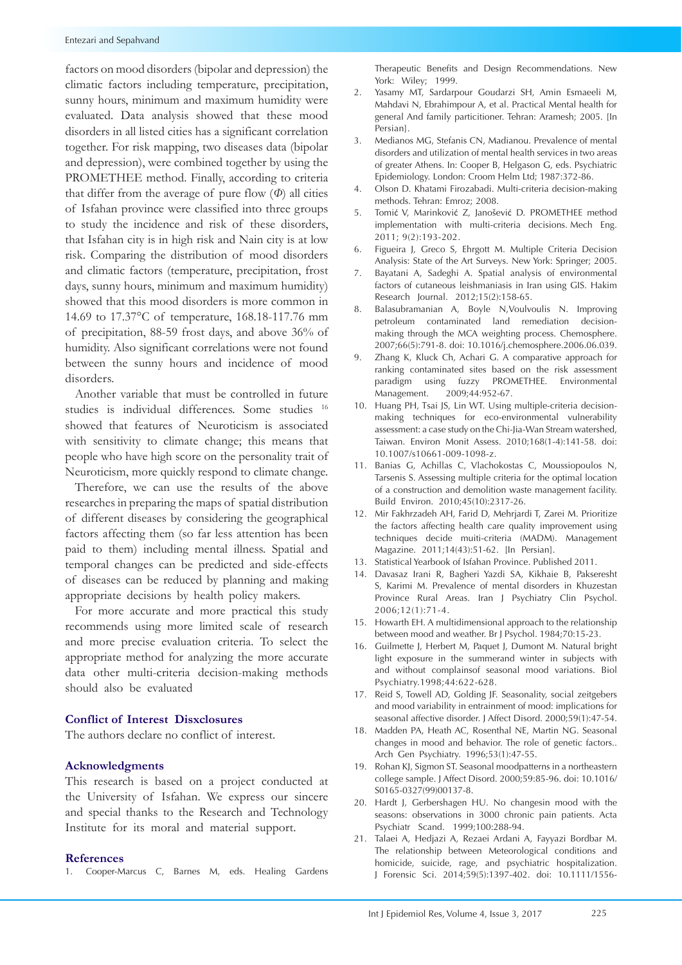#### Entezari and Sepahvand

factors on mood disorders (bipolar and depression) the climatic factors including temperature, precipitation, sunny hours, minimum and maximum humidity were evaluated. Data analysis showed that these mood disorders in all listed cities has a significant correlation together. For risk mapping, two diseases data (bipolar and depression), were combined together by using the PROMETHEE method. Finally, according to criteria that differ from the average of pure flow (*Φ*) all cities of Isfahan province were classified into three groups to study the incidence and risk of these disorders, that Isfahan city is in high risk and Nain city is at low risk. Comparing the distribution of mood disorders and climatic factors (temperature, precipitation, frost days, sunny hours, minimum and maximum humidity) showed that this mood disorders is more common in 14.69 to 17.37°C of temperature, 168.18-117.76 mm of precipitation, 88-59 frost days, and above 36% of humidity. Also significant correlations were not found between the sunny hours and incidence of mood disorders.

Another variable that must be controlled in future studies is individual differences. Some studies 16 showed that features of Neuroticism is associated with sensitivity to climate change; this means that people who have high score on the personality trait of Neuroticism, more quickly respond to climate change.

Therefore, we can use the results of the above researches in preparing the maps of spatial distribution of different diseases by considering the geographical factors affecting them (so far less attention has been paid to them) including mental illness. Spatial and temporal changes can be predicted and side-effects of diseases can be reduced by planning and making appropriate decisions by health policy makers.

For more accurate and more practical this study recommends using more limited scale of research and more precise evaluation criteria. To select the appropriate method for analyzing the more accurate data other multi-criteria decision-making methods should also be evaluated

# **Conflict of Interest Disxclosures**

The authors declare no conflict of interest.

# **Acknowledgments**

This research is based on a project conducted at the University of Isfahan. We express our sincere and special thanks to the Research and Technology Institute for its moral and material support.

#### **References**

1. Cooper-Marcus C, Barnes M, eds. Healing Gardens

Therapeutic Benefits and Design Recommendations. New York: Wiley; 1999.

- 2. Yasamy MT, Sardarpour Goudarzi SH, Amin Esmaeeli M, Mahdavi N, Ebrahimpour A, et al. Practical Mental health for general And family particitioner. Tehran: Aramesh; 2005. [In Persian].
- 3. Medianos MG, Stefanis CN, Madianou. Prevalence of mental disorders and utilization of mental health services in two areas of greater Athens. In: Cooper B, Helgason G, eds. Psychiatric Epidemiology. London: Croom Helm Ltd; 1987:372-86.
- 4. Olson D. Khatami Firozabadi. Multi-criteria decision-making methods. Tehran: Emroz; 2008.
- 5. Tomić V, Marinković Z, Janošević D. PROMETHEE method implementation with multi-criteria decisions. Mech Eng. 2011; 9(2):193-202.
- 6. Figueira J, Greco S, Ehrgott M. Multiple Criteria Decision Analysis: State of the Art Surveys. New York: Springer; 2005.
- 7. Bayatani A, Sadeghi A. Spatial analysis of environmental factors of cutaneous leishmaniasis in Iran using GIS. Hakim Research Journal. 2012;15(2):158-65.
- 8. Balasubramanian A, Boyle N,Voulvoulis N. Improving petroleum contaminated land remediation decisionmaking through the MCA weighting process. Chemosphere. 2007;66(5):791-8. doi: 10.1016/j.chemosphere.2006.06.039.
- 9. Zhang K, Kluck Ch, Achari G. A comparative approach for ranking contaminated sites based on the risk assessment paradigm using fuzzy PROMETHEE. Environmental Management. 2009;44:952-67.
- 10. Huang PH, Tsai JS, Lin WT. Using multiple-criteria decisionmaking techniques for eco-environmental vulnerability assessment: a case study on the Chi-Jia-Wan Stream watershed, Taiwan. Environ Monit Assess. 2010;168(1-4):141-58. doi: 10.1007/s10661-009-1098-z.
- 11. Banias G, Achillas C, Vlachokostas C, Moussiopoulos N, Tarsenis S. Assessing multiple criteria for the optimal location of a construction and demolition waste management facility. Build Environ. 2010;45(10):2317-26.
- 12. Mir Fakhrzadeh AH, Farid D, Mehrjardi T, Zarei M. Prioritize the factors affecting health care quality improvement using techniques decide muiti-criteria (MADM). Management Magazine. 2011;14(43):51-62. [In Persian].
- 13. Statistical Yearbook of Isfahan Province. Published 2011.
- 14. Davasaz Irani R, Bagheri Yazdi SA, Kikhaie B, Pakseresht S, Karimi M. Prevalence of mental disorders in Khuzestan Province Rural Areas. Iran J Psychiatry Clin Psychol. 2006;12(1):71-4.
- 15. Howarth EH. A multidimensional approach to the relationship between mood and weather. Br J Psychol. 1984;70:15-23.
- 16. Guilmette J, Herbert M, Paquet J, Dumont M. Natural bright light exposure in the summerand winter in subjects with and without complainsof seasonal mood variations. Biol Psychiatry.1998;44:622-628.
- 17. Reid S, Towell AD, Golding JF. Seasonality, social zeitgebers and mood variability in entrainment of mood: implications for seasonal affective disorder. J Affect Disord. 2000;59(1):47-54.
- 18. Madden PA, Heath AC, Rosenthal NE, Martin NG. Seasonal changes in mood and behavior. The role of genetic factors.. Arch Gen Psychiatry. 1996;53(1):47-55.
- 19. Rohan KJ, Sigmon ST. Seasonal moodpatterns in a northeastern college sample. J Affect Disord. 2000;59:85-96. doi: 10.1016/ S0165-0327(99)00137-8.
- 20. Hardt J, Gerbershagen HU. No changesin mood with the seasons: observations in 3000 chronic pain patients. Acta Psychiatr Scand. 1999;100:288-94.
- 21. Talaei A, Hedjazi A, Rezaei Ardani A, Fayyazi Bordbar M. The relationship between Meteorological conditions and homicide, suicide, rage, and psychiatric hospitalization. J Forensic Sci. 2014;59(5):1397-402. doi: 10.1111/1556-